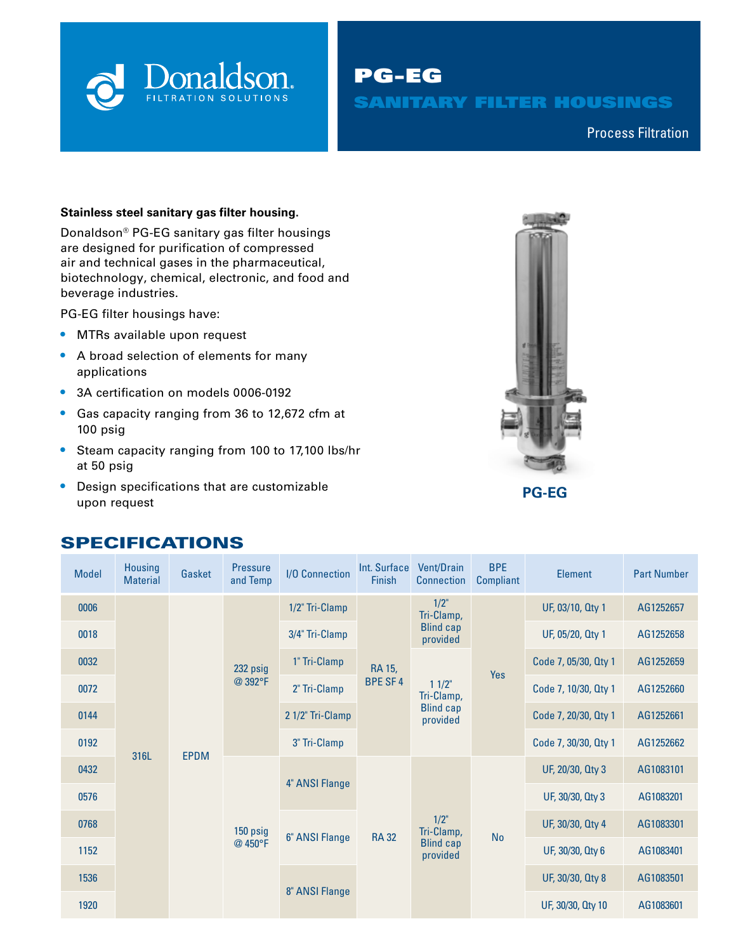

PG-EG SANITARY FILTER HOUSINGS

Compressed Air & Process Filtration Process Filtration

## **Stainless steel sanitary gas filter housing.**

Donaldson® PG-EG sanitary gas filter housings are designed for purification of compressed air and technical gases in the pharmaceutical, biotechnology, chemical, electronic, and food and beverage industries.

PG-EG filter housings have:

- **•** MTRs available upon request
- **•** A broad selection of elements for many applications
- **•** 3A certification on models 0006-0192
- **•** Gas capacity ranging from 36 to 12,672 cfm at 100 psig
- **•** Steam capacity ranging from 100 to 17,100 lbs/hr at 50 psig
- **•** Design specifications that are customizable upon request



## SPECIFICATIONS

| <b>Model</b> | Housing<br><b>Material</b> | Gasket      | <b>Pressure</b><br>and Temp | <b>I/O</b> Connection | Int. Surface<br>Finish   | <b>Vent/Drain</b><br><b>Connection</b>                 | <b>BPE</b><br>Compliant | <b>Element</b>       | <b>Part Number</b> |
|--------------|----------------------------|-------------|-----------------------------|-----------------------|--------------------------|--------------------------------------------------------|-------------------------|----------------------|--------------------|
| 0006         |                            |             | 232 psig<br>@392°F          | 1/2" Tri-Clamp        |                          | $1/2$ "<br>Tri-Clamp,                                  |                         | UF, 03/10, Qty 1     | AG1252657          |
| 0018         |                            |             |                             | 3/4" Tri-Clamp        | RA 15,<br><b>BPE SF4</b> | <b>Blind cap</b><br>provided                           |                         | UF, 05/20, Qty 1     | AG1252658          |
| 0032         |                            |             |                             | 1" Tri-Clamp          |                          | $11/2$ "<br>Tri-Clamp,<br><b>Blind cap</b><br>provided | Yes                     | Code 7, 05/30, Qty 1 | AG1252659          |
| 0072         |                            |             |                             | 2" Tri-Clamp          |                          |                                                        |                         | Code 7, 10/30, Qty 1 | AG1252660          |
| 0144         |                            |             |                             | 2 1/2" Tri-Clamp      |                          |                                                        |                         | Code 7, 20/30, Qty 1 | AG1252661          |
| 0192         | 316L                       | <b>EPDM</b> |                             | 3" Tri-Clamp          |                          |                                                        |                         | Code 7, 30/30, Qty 1 | AG1252662          |
| 0432         |                            |             | 150 psig<br>@ 450°F         | 4" ANSI Flange        | <b>RA 32</b>             | $1/2$ "<br>Tri-Clamp,<br><b>Blind cap</b><br>provided  | <b>No</b>               | UF, 20/30, Qty 3     | AG1083101          |
| 0576         |                            |             |                             |                       |                          |                                                        |                         | UF, 30/30, Qty 3     | AG1083201          |
| 0768         |                            |             |                             | 6" ANSI Flange        |                          |                                                        |                         | UF, 30/30, Qty 4     | AG1083301          |
| 1152         |                            |             |                             |                       |                          |                                                        |                         | UF, 30/30, Qty 6     | AG1083401          |
| 1536         |                            |             |                             |                       |                          |                                                        |                         | UF, 30/30, Qty 8     | AG1083501          |
| 1920         |                            |             |                             | 8" ANSI Flange        |                          |                                                        |                         | UF, 30/30, Qty 10    | AG1083601          |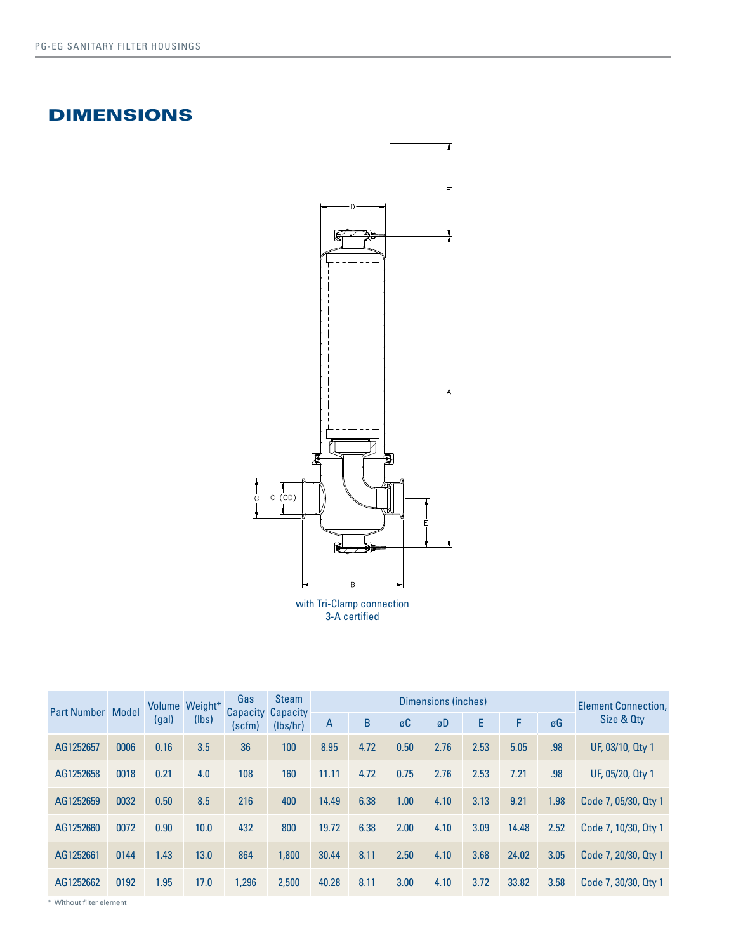# DIMENSIONS



3-A certified

| <b>Part Number Model</b> |      | (gal) | Volume Weight*<br>(lbs) | Gas<br>(scfm) | <b>Steam</b><br><b>Capacity Capacity</b><br>(lbs/hr) |       |      | <b>Element Connection.</b> |      |      |       |      |                      |
|--------------------------|------|-------|-------------------------|---------------|------------------------------------------------------|-------|------|----------------------------|------|------|-------|------|----------------------|
|                          |      |       |                         |               |                                                      | A     | B    | øC                         | øD   | E    | F     | øG   | Size & Oty           |
| AG1252657                | 0006 | 0.16  | 3.5                     | 36            | 100                                                  | 8.95  | 4.72 | 0.50                       | 2.76 | 2.53 | 5.05  | .98  | UF, 03/10, Qty 1     |
| AG1252658                | 0018 | 0.21  | 4.0                     | 108           | 160                                                  | 11.11 | 4.72 | 0.75                       | 2.76 | 2.53 | 7.21  | .98  | UF, 05/20, Qty 1     |
| AG1252659                | 0032 | 0.50  | 8.5                     | 216           | 400                                                  | 14.49 | 6.38 | 1.00                       | 4.10 | 3.13 | 9.21  | 1.98 | Code 7, 05/30, Qty 1 |
| AG1252660                | 0072 | 0.90  | 10.0                    | 432           | 800                                                  | 19.72 | 6.38 | 2.00                       | 4.10 | 3.09 | 14.48 | 2.52 | Code 7, 10/30, Qty 1 |
| AG1252661                | 0144 | 1.43  | 13.0                    | 864           | 1,800                                                | 30.44 | 8.11 | 2.50                       | 4.10 | 3.68 | 24.02 | 3.05 | Code 7, 20/30, Qty 1 |
| AG1252662                | 0192 | 1.95  | 17.0                    | 1,296         | 2,500                                                | 40.28 | 8.11 | 3.00                       | 4.10 | 3.72 | 33.82 | 3.58 | Code 7, 30/30, Qty 1 |

\* Without filter element